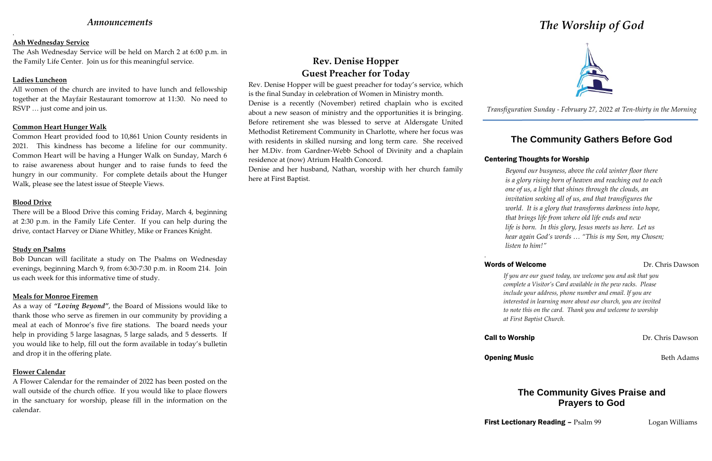## *Announcements*

.

### **Ash Wednesday Service**

The Ash Wednesday Service will be held on March 2 at 6:00 p.m. in the Family Life Center. Join us for this meaningful service.

### **Ladies Luncheon**

All women of the church are invited to have lunch and fellowship together at the Mayfair Restaurant tomorrow at 11:30. No need to RSVP … just come and join us.

### **Common Heart Hunger Walk**

Common Heart provided food to 10,861 Union County residents in 2021. This kindness has become a lifeline for our community. Common Heart will be having a Hunger Walk on Sunday, March 6 to raise awareness about hunger and to raise funds to feed the hungry in our community. For complete details about the Hunger Walk, please see the latest issue of Steeple Views.

### **Blood Drive**

There will be a Blood Drive this coming Friday, March 4, beginning at 2:30 p.m. in the Family Life Center. If you can help during the drive, contact Harvey or Diane Whitley, Mike or Frances Knight.

### **Study on Psalms**

Bob Duncan will facilitate a study on The Psalms on Wednesday evenings, beginning March 9, from 6:30-7:30 p.m. in Room 214. Join us each week for this informative time of study.

### **Meals for Monroe Firemen**

As a way of *"Loving Beyond"*, the Board of Missions would like to thank those who serve as firemen in our community by providing a meal at each of Monroe's five fire stations. The board needs your help in providing 5 large lasagnas, 5 large salads, and 5 desserts. If you would like to help, fill out the form available in today's bulletin and drop it in the offering plate.

## **Flower Calendar**

A Flower Calendar for the remainder of 2022 has been posted on the wall outside of the church office. If you would like to place flowers in the sanctuary for worship, please fill in the information on the calendar.

## **Rev. Denise Hopper Guest Preacher for Today**

Rev. Denise Hopper will be guest preacher for today's service, which is the final Sunday in celebration of Women in Ministry month. Denise is a recently (November) retired chaplain who is excited about a new season of ministry and the opportunities it is bringing. Before retirement she was blessed to serve at Aldersgate United Methodist Retirement Community in Charlotte, where her focus was with residents in skilled nursing and long term care. She received her M.Div. from Gardner-Webb School of Divinity and a chaplain residence at (now) Atrium Health Concord.

Denise and her husband, Nathan, worship with her church family here at First Baptist.

## Words of Welcome Dr. Chris Dawson

# *The Worship of God*



*Transfiguration Sunday - February 27, 2022 at Ten-thirty in the Morning*

## **The Community Gathers Before God**

## Centering Thoughts for Worship

*Beyond our busyness, above the cold winter floor there is a glory rising born of heaven and reaching out to each one of us, a light that shines through the clouds, an invitation seeking all of us, and that transfigures the world. It is a glory that transforms darkness into hope, that brings life from where old life ends and new life is born. In this glory, Jesus meets us here. Let us hear again God's words … "This is my Son, my Chosen; listen to him!"*

*.*

**Call to Worship Dr. Chris Dawson** 

## **Opening Music** Beth Adams

*If you are our guest today, we welcome you and ask that you complete a Visitor's Card available in the pew racks. Please include your address, phone number and email. If you are interested in learning more about our church, you are invited to note this on the card. Thank you and welcome to worship at First Baptist Church.*

## **The Community Gives Praise and Prayers to God**

**First Lectionary Reading – Psalm 99 Logan Williams**